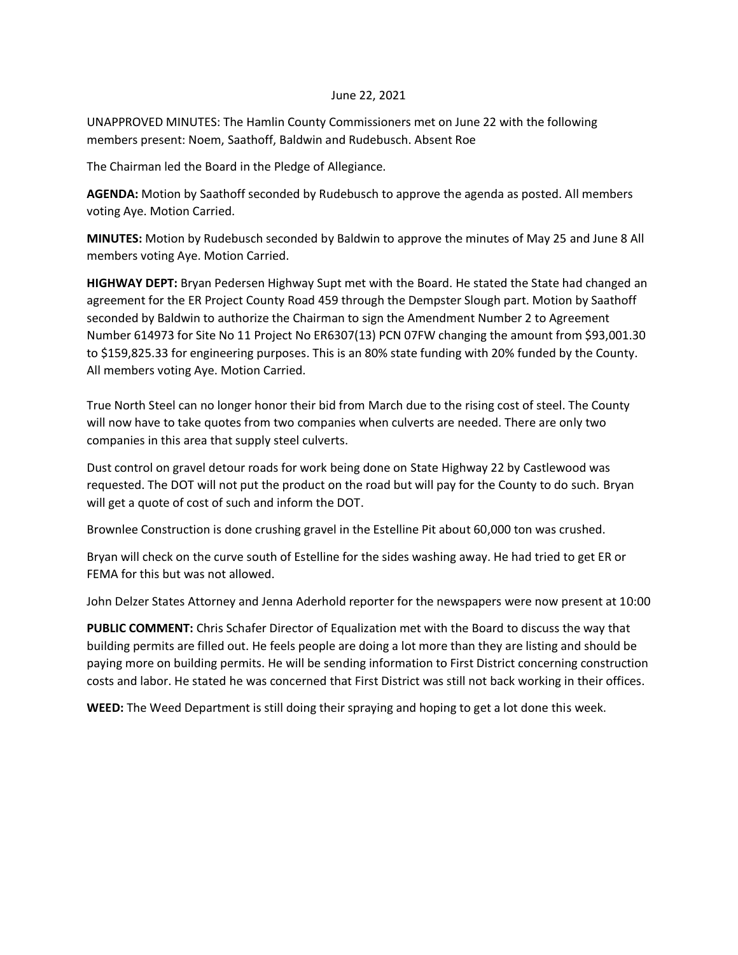## June 22, 2021

UNAPPROVED MINUTES: The Hamlin County Commissioners met on June 22 with the following members present: Noem, Saathoff, Baldwin and Rudebusch. Absent Roe

The Chairman led the Board in the Pledge of Allegiance.

**AGENDA:** Motion by Saathoff seconded by Rudebusch to approve the agenda as posted. All members voting Aye. Motion Carried.

**MINUTES:** Motion by Rudebusch seconded by Baldwin to approve the minutes of May 25 and June 8 All members voting Aye. Motion Carried.

**HIGHWAY DEPT:** Bryan Pedersen Highway Supt met with the Board. He stated the State had changed an agreement for the ER Project County Road 459 through the Dempster Slough part. Motion by Saathoff seconded by Baldwin to authorize the Chairman to sign the Amendment Number 2 to Agreement Number 614973 for Site No 11 Project No ER6307(13) PCN 07FW changing the amount from \$93,001.30 to \$159,825.33 for engineering purposes. This is an 80% state funding with 20% funded by the County. All members voting Aye. Motion Carried.

True North Steel can no longer honor their bid from March due to the rising cost of steel. The County will now have to take quotes from two companies when culverts are needed. There are only two companies in this area that supply steel culverts.

Dust control on gravel detour roads for work being done on State Highway 22 by Castlewood was requested. The DOT will not put the product on the road but will pay for the County to do such. Bryan will get a quote of cost of such and inform the DOT.

Brownlee Construction is done crushing gravel in the Estelline Pit about 60,000 ton was crushed.

Bryan will check on the curve south of Estelline for the sides washing away. He had tried to get ER or FEMA for this but was not allowed.

John Delzer States Attorney and Jenna Aderhold reporter for the newspapers were now present at 10:00

**PUBLIC COMMENT:** Chris Schafer Director of Equalization met with the Board to discuss the way that building permits are filled out. He feels people are doing a lot more than they are listing and should be paying more on building permits. He will be sending information to First District concerning construction costs and labor. He stated he was concerned that First District was still not back working in their offices.

**WEED:** The Weed Department is still doing their spraying and hoping to get a lot done this week.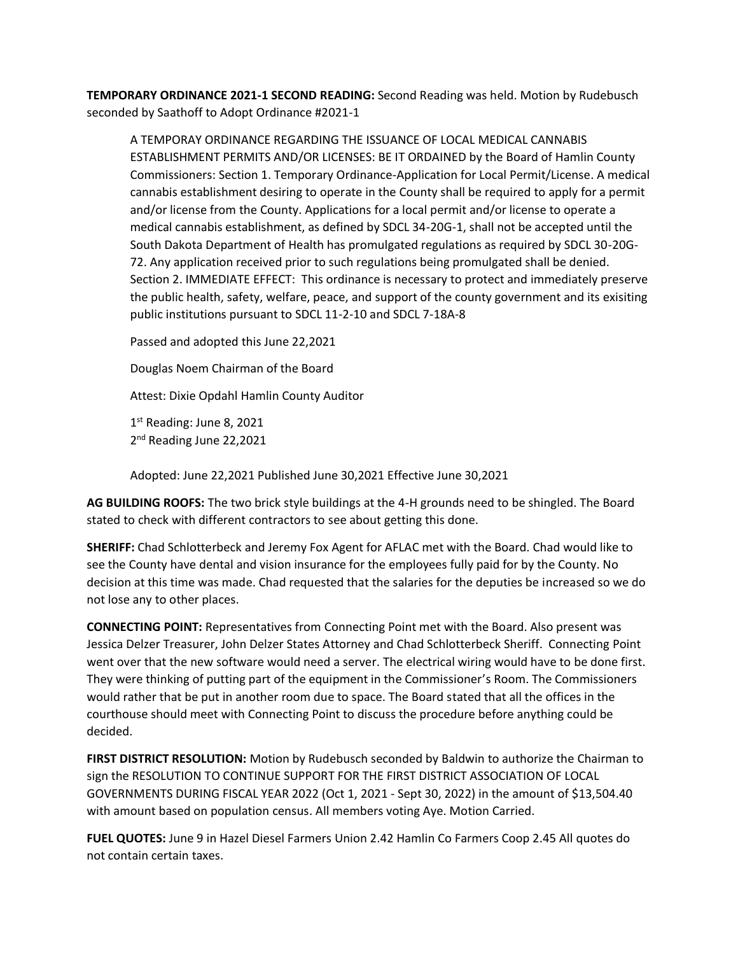**TEMPORARY ORDINANCE 2021-1 SECOND READING:** Second Reading was held. Motion by Rudebusch seconded by Saathoff to Adopt Ordinance #2021-1

A TEMPORAY ORDINANCE REGARDING THE ISSUANCE OF LOCAL MEDICAL CANNABIS ESTABLISHMENT PERMITS AND/OR LICENSES: BE IT ORDAINED by the Board of Hamlin County Commissioners: Section 1. Temporary Ordinance-Application for Local Permit/License. A medical cannabis establishment desiring to operate in the County shall be required to apply for a permit and/or license from the County. Applications for a local permit and/or license to operate a medical cannabis establishment, as defined by SDCL 34-20G-1, shall not be accepted until the South Dakota Department of Health has promulgated regulations as required by SDCL 30-20G-72. Any application received prior to such regulations being promulgated shall be denied. Section 2. IMMEDIATE EFFECT: This ordinance is necessary to protect and immediately preserve the public health, safety, welfare, peace, and support of the county government and its exisiting public institutions pursuant to SDCL 11-2-10 and SDCL 7-18A-8

Passed and adopted this June 22,2021

Douglas Noem Chairman of the Board

Attest: Dixie Opdahl Hamlin County Auditor

1st Reading: June 8, 2021 2<sup>nd</sup> Reading June 22,2021

Adopted: June 22,2021 Published June 30,2021 Effective June 30,2021

**AG BUILDING ROOFS:** The two brick style buildings at the 4-H grounds need to be shingled. The Board stated to check with different contractors to see about getting this done.

**SHERIFF:** Chad Schlotterbeck and Jeremy Fox Agent for AFLAC met with the Board. Chad would like to see the County have dental and vision insurance for the employees fully paid for by the County. No decision at this time was made. Chad requested that the salaries for the deputies be increased so we do not lose any to other places.

**CONNECTING POINT:** Representatives from Connecting Point met with the Board. Also present was Jessica Delzer Treasurer, John Delzer States Attorney and Chad Schlotterbeck Sheriff. Connecting Point went over that the new software would need a server. The electrical wiring would have to be done first. They were thinking of putting part of the equipment in the Commissioner's Room. The Commissioners would rather that be put in another room due to space. The Board stated that all the offices in the courthouse should meet with Connecting Point to discuss the procedure before anything could be decided.

**FIRST DISTRICT RESOLUTION:** Motion by Rudebusch seconded by Baldwin to authorize the Chairman to sign the RESOLUTION TO CONTINUE SUPPORT FOR THE FIRST DISTRICT ASSOCIATION OF LOCAL GOVERNMENTS DURING FISCAL YEAR 2022 (Oct 1, 2021 - Sept 30, 2022) in the amount of \$13,504.40 with amount based on population census. All members voting Aye. Motion Carried.

**FUEL QUOTES:** June 9 in Hazel Diesel Farmers Union 2.42 Hamlin Co Farmers Coop 2.45 All quotes do not contain certain taxes.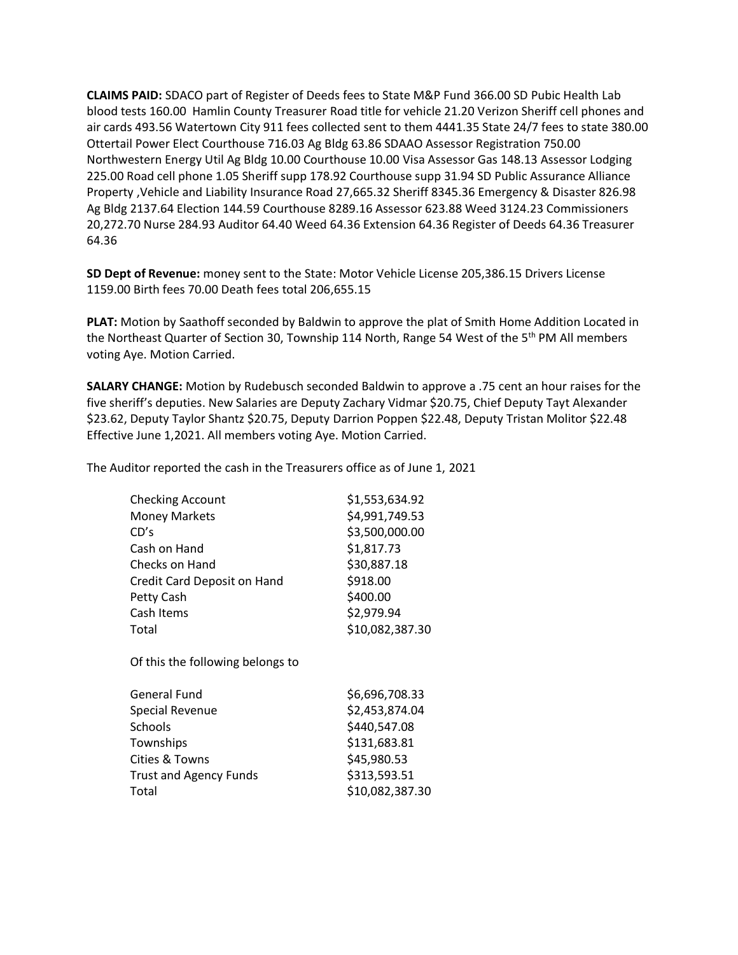**CLAIMS PAID:** SDACO part of Register of Deeds fees to State M&P Fund 366.00 SD Pubic Health Lab blood tests 160.00 Hamlin County Treasurer Road title for vehicle 21.20 Verizon Sheriff cell phones and air cards 493.56 Watertown City 911 fees collected sent to them 4441.35 State 24/7 fees to state 380.00 Ottertail Power Elect Courthouse 716.03 Ag Bldg 63.86 SDAAO Assessor Registration 750.00 Northwestern Energy Util Ag Bldg 10.00 Courthouse 10.00 Visa Assessor Gas 148.13 Assessor Lodging 225.00 Road cell phone 1.05 Sheriff supp 178.92 Courthouse supp 31.94 SD Public Assurance Alliance Property ,Vehicle and Liability Insurance Road 27,665.32 Sheriff 8345.36 Emergency & Disaster 826.98 Ag Bldg 2137.64 Election 144.59 Courthouse 8289.16 Assessor 623.88 Weed 3124.23 Commissioners 20,272.70 Nurse 284.93 Auditor 64.40 Weed 64.36 Extension 64.36 Register of Deeds 64.36 Treasurer 64.36

**SD Dept of Revenue:** money sent to the State: Motor Vehicle License 205,386.15 Drivers License 1159.00 Birth fees 70.00 Death fees total 206,655.15

**PLAT:** Motion by Saathoff seconded by Baldwin to approve the plat of Smith Home Addition Located in the Northeast Quarter of Section 30, Township 114 North, Range 54 West of the 5<sup>th</sup> PM All members voting Aye. Motion Carried.

**SALARY CHANGE:** Motion by Rudebusch seconded Baldwin to approve a .75 cent an hour raises for the five sheriff's deputies. New Salaries are Deputy Zachary Vidmar \$20.75, Chief Deputy Tayt Alexander \$23.62, Deputy Taylor Shantz \$20.75, Deputy Darrion Poppen \$22.48, Deputy Tristan Molitor \$22.48 Effective June 1,2021. All members voting Aye. Motion Carried.

The Auditor reported the cash in the Treasurers office as of June 1, 2021

| <b>Checking Account</b>          | \$1,553,634.92  |
|----------------------------------|-----------------|
| <b>Money Markets</b>             | \$4,991,749.53  |
| CD's                             | \$3,500,000.00  |
| Cash on Hand                     | \$1,817.73      |
| Checks on Hand                   | \$30,887.18     |
| Credit Card Deposit on Hand      | \$918.00        |
| Petty Cash                       | \$400.00        |
| Cash Items                       | \$2,979.94      |
| Total                            | \$10,082,387.30 |
| Of this the following belongs to |                 |
| <b>General Fund</b>              | \$6,696,708.33  |
| Special Revenue                  | \$2,453,874.04  |
| Schools                          | \$440,547.08    |
| Townships                        | \$131,683.81    |
| Cities & Towns                   | \$45,980.53     |
| <b>Trust and Agency Funds</b>    | \$313,593.51    |

Total \$10,082,387.30